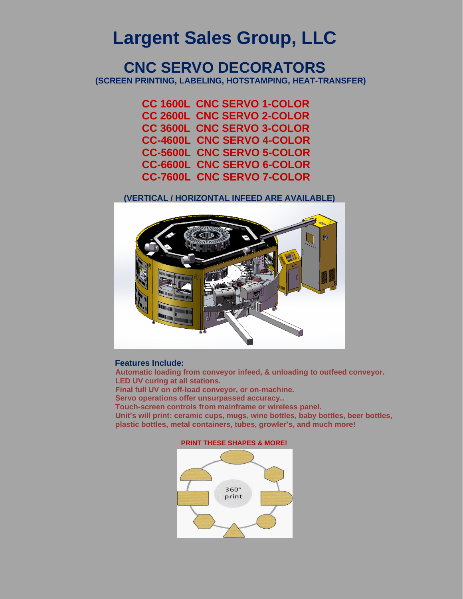# **Largent Sales Group, LLC**

# **CNC SERVO DECORATORS (SCREEN PRINTING, LABELING, HOTSTAMPING, HEAT-TRANSFER)**

 **CC 1600L CNC SERVO 1-COLOR CC 2600L CNC SERVO 2-COLOR CC 3600L CNC SERVO 3-COLOR CC-4600L CNC SERVO 4-COLOR CC-5600L CNC SERVO 5-COLOR CC-6600L CNC SERVO 6-COLOR CC-7600L CNC SERVO 7-COLOR**

### **(VERTICAL / HORIZONTAL INFEED ARE AVAILABLE)**



#### **Features Include:**

 **Automatic loading from conveyor infeed, & unloading to outfeed conveyor. LED UV curing at all stations. Final full UV on off-load conveyor, or on-machine.**

 **Servo operations offer unsurpassed accuracy..**

 **Touch-screen controls from mainframe or wireless panel.** 

 **Unit's will print: ceramic cups, mugs, wine bottles, baby bottles, beer bottles, plastic bottles, metal containers, tubes, growler's, and much more!** 

#### **PRINT THESE SHAPES & MORE!**